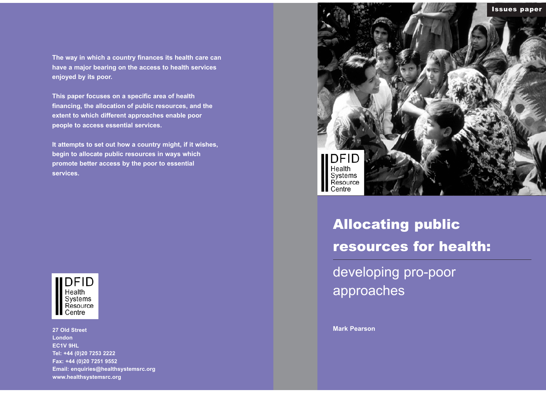# Allocating public resources for health:

developing pro-poor approaches

**Mark Pearson**

**The way in which a country finances its health care can have a major bearing on the access to health services enjoyed by its poor.** 

**This paper focuses on a specific area of health financing, the allocation of public resources, and the extent to which different approaches enable poor people to access essential services.** 

**It attempts to set out how a country might, if it wishes, begin to allocate public resources in ways which promote better access by the poor to essential services.** 

**DFID** Health Systems<br>Resource **Centre** 

**27 Old Street London EC1V 9HL Tel: +44 (0)20 7253 2222 Fax: +44 (0)20 7251 9552 Email: enquiries@healthsystemsrc.org www.healthsystemsrc.org**

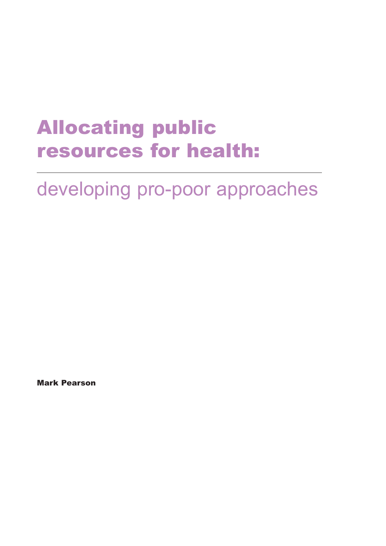### Allocating public resources for health:

### developing pro-poor approaches

Mark Pearson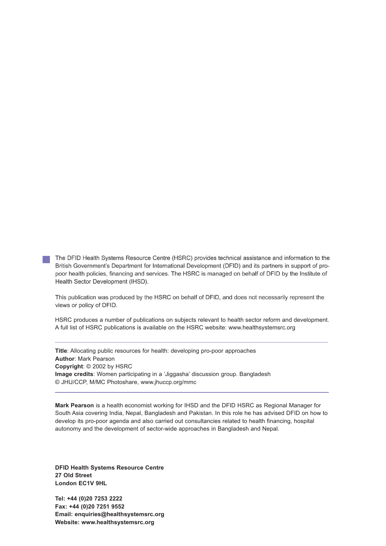The DFID Health Systems Resource Centre (HSRC) provides technical assistance and information to the British Government's Department for International Development (DFID) and its partners in support of propoor health policies, financing and services. The HSRC is managed on behalf of DFID by the Institute of Health Sector Development (IHSD).

This publication was produced by the HSRC on behalf of DFID, and does not necessarily represent the views or policy of DFID.

HSRC produces a number of publications on subjects relevant to health sector reform and development. A full list of HSRC publications is available on the HSRC website: www.healthsystemsrc.org

**Title**: Allocating public resources for health: developing pro-poor approaches **Author**: Mark Pearson **Copyright**: © 2002 by HSRC **Image credits**: Women participating in a 'Jiggasha' discussion group. Bangladesh © JHU/CCP, M/MC Photoshare, www.jhuccp.org/mmc

**Mark Pearson** is a health economist working for IHSD and the DFID HSRC as Regional Manager for South Asia covering India, Nepal, Bangladesh and Pakistan. In this role he has advised DFID on how to develop its pro-poor agenda and also carried out consultancies related to health financing, hospital autonomy and the development of sector-wide approaches in Bangladesh and Nepal.

**DFID Health Systems Resource Centre 27 Old Street London EC1V 9HL**

**Tel: +44 (0)20 7253 2222 Fax: +44 (0)20 7251 9552 Email: enquiries@healthsystemsrc.org Website: www.healthsystemsrc.org**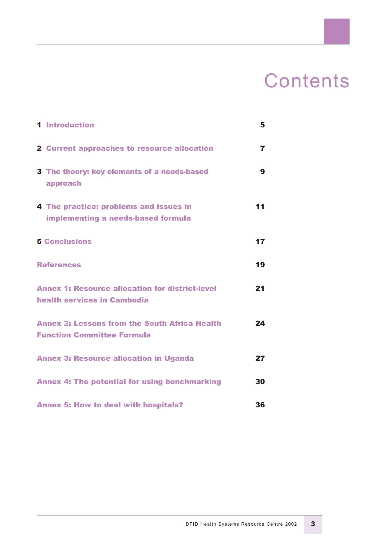### **Contents**

| <b>1</b> Introduction                                                                     | 5              |
|-------------------------------------------------------------------------------------------|----------------|
| <b>2 Current approaches to resource allocation</b>                                        | $\overline{7}$ |
| 3 The theory: key elements of a needs-based<br>approach                                   | 9              |
| 4 The practice: problems and issues in<br>implementing a needs-based formula              | 11             |
| <b>5 Conclusions</b>                                                                      | 17             |
| <b>References</b>                                                                         | 19             |
| <b>Annex 1: Resource allocation for district-level</b><br>health services in Cambodia     | 21             |
| <b>Annex 2: Lessons from the South Africa Health</b><br><b>Function Committee Formula</b> | 24             |
| <b>Annex 3: Resource allocation in Uganda</b>                                             | 27             |
| <b>Annex 4: The potential for using benchmarking</b>                                      | 30             |
| <b>Annex 5: How to deal with hospitals?</b>                                               | 36             |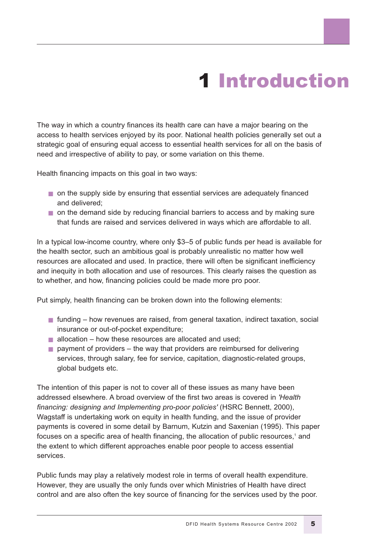## 1 Introduction

The way in which a country finances its health care can have a major bearing on the access to health services enjoyed by its poor. National health policies generally set out a strategic goal of ensuring equal access to essential health services for all on the basis of need and irrespective of ability to pay, or some variation on this theme.

Health financing impacts on this goal in two ways:

- on the supply side by ensuring that essential services are adequately financed and delivered;
- on the demand side by reducing financial barriers to access and by making sure that funds are raised and services delivered in ways which are affordable to all.

In a typical low-income country, where only \$3–5 of public funds per head is available for the health sector, such an ambitious goal is probably unrealistic no matter how well resources are allocated and used. In practice, there will often be significant inefficiency and inequity in both allocation and use of resources. This clearly raises the question as to whether, and how, financing policies could be made more pro poor.

Put simply, health financing can be broken down into the following elements:

- funding how revenues are raised, from general taxation, indirect taxation, social insurance or out-of-pocket expenditure;
- $\blacksquare$  allocation how these resources are allocated and used;
- $\blacksquare$  payment of providers the way that providers are reimbursed for delivering services, through salary, fee for service, capitation, diagnostic-related groups, global budgets etc.

The intention of this paper is not to cover all of these issues as many have been addressed elsewhere. A broad overview of the first two areas is covered in *'Health financing: designing and Implementing pro-poor policies'* (HSRC Bennett, 2000), Wagstaff is undertaking work on equity in health funding, and the issue of provider payments is covered in some detail by Barnum, Kutzin and Saxenian (1995). This paper focuses on a specific area of health financing, the allocation of public resources,<sup>1</sup> and the extent to which different approaches enable poor people to access essential services.

Public funds may play a relatively modest role in terms of overall health expenditure. However, they are usually the only funds over which Ministries of Health have direct control and are also often the key source of financing for the services used by the poor.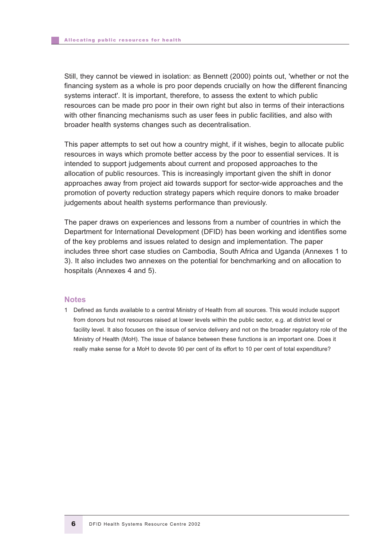Still, they cannot be viewed in isolation: as Bennett (2000) points out, 'whether or not the financing system as a whole is pro poor depends crucially on how the different financing systems interact'. It is important, therefore, to assess the extent to which public resources can be made pro poor in their own right but also in terms of their interactions with other financing mechanisms such as user fees in public facilities, and also with broader health systems changes such as decentralisation.

This paper attempts to set out how a country might, if it wishes, begin to allocate public resources in ways which promote better access by the poor to essential services. It is intended to support judgements about current and proposed approaches to the allocation of public resources. This is increasingly important given the shift in donor approaches away from project aid towards support for sector-wide approaches and the promotion of poverty reduction strategy papers which require donors to make broader judgements about health systems performance than previously.

The paper draws on experiences and lessons from a number of countries in which the Department for International Development (DFID) has been working and identifies some of the key problems and issues related to design and implementation. The paper includes three short case studies on Cambodia, South Africa and Uganda (Annexes 1 to 3). It also includes two annexes on the potential for benchmarking and on allocation to hospitals (Annexes 4 and 5).

#### **Notes**

1 Defined as funds available to a central Ministry of Health from all sources. This would include support from donors but not resources raised at lower levels within the public sector, e.g. at district level or facility level. It also focuses on the issue of service delivery and not on the broader regulatory role of the Ministry of Health (MoH). The issue of balance between these functions is an important one. Does it really make sense for a MoH to devote 90 per cent of its effort to 10 per cent of total expenditure?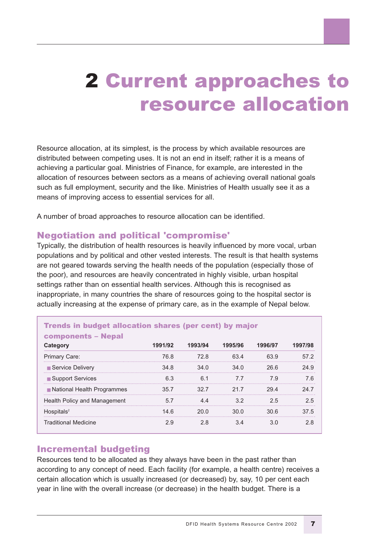### 2 Current approaches to resource allocation

Resource allocation, at its simplest, is the process by which available resources are distributed between competing uses. It is not an end in itself; rather it is a means of achieving a particular goal. Ministries of Finance, for example, are interested in the allocation of resources between sectors as a means of achieving overall national goals such as full employment, security and the like. Ministries of Health usually see it as a means of improving access to essential services for all.

A number of broad approaches to resource allocation can be identified.

#### Negotiation and political 'compromise'

Typically, the distribution of health resources is heavily influenced by more vocal, urban populations and by political and other vested interests. The result is that health systems are not geared towards serving the health needs of the population (especially those of the poor), and resources are heavily concentrated in highly visible, urban hospital settings rather than on essential health services. Although this is recognised as inappropriate, in many countries the share of resources going to the hospital sector is actually increasing at the expense of primary care, as in the example of Nepal below.

| <b>Trends in budget allocation shares (per cent) by major</b><br><b>components - Nepal</b> |         |         |         |         |         |
|--------------------------------------------------------------------------------------------|---------|---------|---------|---------|---------|
| Category                                                                                   | 1991/92 | 1993/94 | 1995/96 | 1996/97 | 1997/98 |
| Primary Care:                                                                              | 76.8    | 72.8    | 63.4    | 63.9    | 57.2    |
| ■ Service Delivery                                                                         | 34.8    | 34.0    | 34.0    | 26.6    | 24.9    |
| ■ Support Services                                                                         | 6.3     | 61      | 77      | 79      | 76      |
| ■ National Health Programmes                                                               | 35.7    | 32.7    | 21.7    | 294     | 24 7    |
| <b>Health Policy and Management</b>                                                        | 5.7     | 4.4     | 3.2     | 25      | 25      |
| $H$ ospitals <sup>2</sup>                                                                  | 14.6    | 20.0    | 30.0    | 30.6    | 37.5    |
| <b>Traditional Medicine</b>                                                                | 2.9     | 28      | 3.4     | 3.0     | 2.8     |

### Incremental budgeting

Resources tend to be allocated as they always have been in the past rather than according to any concept of need. Each facility (for example, a health centre) receives a certain allocation which is usually increased (or decreased) by, say, 10 per cent each year in line with the overall increase (or decrease) in the health budget. There is a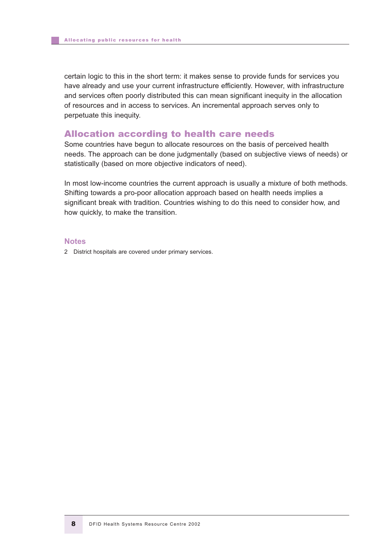certain logic to this in the short term: it makes sense to provide funds for services you have already and use your current infrastructure efficiently. However, with infrastructure and services often poorly distributed this can mean significant inequity in the allocation of resources and in access to services. An incremental approach serves only to perpetuate this inequity.

#### Allocation according to health care needs

Some countries have begun to allocate resources on the basis of perceived health needs. The approach can be done judgmentally (based on subjective views of needs) or statistically (based on more objective indicators of need).

In most low-income countries the current approach is usually a mixture of both methods. Shifting towards a pro-poor allocation approach based on health needs implies a significant break with tradition. Countries wishing to do this need to consider how, and how quickly, to make the transition.

#### **Notes**

2 District hospitals are covered under primary services.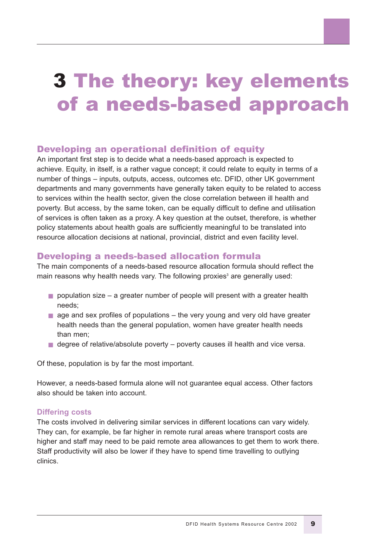### 3 The theory: key elements of a needs-based approach

#### Developing an operational definition of equity

An important first step is to decide what a needs-based approach is expected to achieve. Equity, in itself, is a rather vague concept; it could relate to equity in terms of a number of things – inputs, outputs, access, outcomes etc. DFID, other UK government departments and many governments have generally taken equity to be related to access to services within the health sector, given the close correlation between ill health and poverty. But access, by the same token, can be equally difficult to define and utilisation of services is often taken as a proxy. A key question at the outset, therefore, is whether policy statements about health goals are sufficiently meaningful to be translated into resource allocation decisions at national, provincial, district and even facility level.

#### Developing a needs-based allocation formula

The main components of a needs-based resource allocation formula should reflect the main reasons why health needs vary. The following proxies<sup>3</sup> are generally used:

- $\blacksquare$  population size a greater number of people will present with a greater health needs;
- $\blacksquare$  age and sex profiles of populations the very young and very old have greater health needs than the general population, women have greater health needs than men;
- degree of relative/absolute poverty poverty causes ill health and vice versa.

Of these, population is by far the most important.

However, a needs-based formula alone will not guarantee equal access. Other factors also should be taken into account.

#### **Differing costs**

The costs involved in delivering similar services in different locations can vary widely. They can, for example, be far higher in remote rural areas where transport costs are higher and staff may need to be paid remote area allowances to get them to work there. Staff productivity will also be lower if they have to spend time travelling to outlying clinics.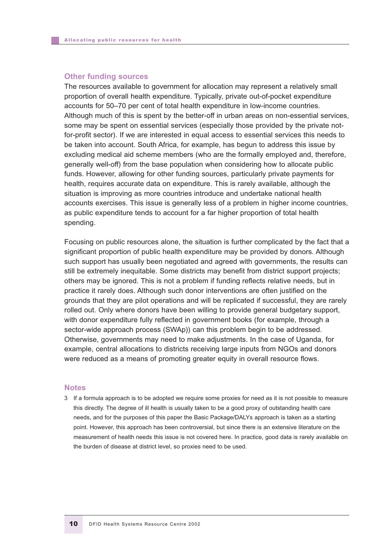#### **Other funding sources**

The resources available to government for allocation may represent a relatively small proportion of overall health expenditure. Typically, private out-of-pocket expenditure accounts for 50–70 per cent of total health expenditure in low-income countries. Although much of this is spent by the better-off in urban areas on non-essential services, some may be spent on essential services (especially those provided by the private notfor-profit sector). If we are interested in equal access to essential services this needs to be taken into account. South Africa, for example, has begun to address this issue by excluding medical aid scheme members (who are the formally employed and, therefore, generally well-off) from the base population when considering how to allocate public funds. However, allowing for other funding sources, particularly private payments for health, requires accurate data on expenditure. This is rarely available, although the situation is improving as more countries introduce and undertake national health accounts exercises. This issue is generally less of a problem in higher income countries, as public expenditure tends to account for a far higher proportion of total health spending.

Focusing on public resources alone, the situation is further complicated by the fact that a significant proportion of public health expenditure may be provided by donors. Although such support has usually been negotiated and agreed with governments, the results can still be extremely inequitable. Some districts may benefit from district support projects; others may be ignored. This is not a problem if funding reflects relative needs, but in practice it rarely does. Although such donor interventions are often justified on the grounds that they are pilot operations and will be replicated if successful, they are rarely rolled out. Only where donors have been willing to provide general budgetary support, with donor expenditure fully reflected in government books (for example, through a sector-wide approach process (SWAp)) can this problem begin to be addressed. Otherwise, governments may need to make adjustments. In the case of Uganda, for example, central allocations to districts receiving large inputs from NGOs and donors were reduced as a means of promoting greater equity in overall resource flows.

#### **Notes**

3 If a formula approach is to be adopted we require some proxies for need as it is not possible to measure this directly. The degree of ill health is usually taken to be a good proxy of outstanding health care needs, and for the purposes of this paper the Basic Package/DALYs approach is taken as a starting point. However, this approach has been controversial, but since there is an extensive literature on the measurement of health needs this issue is not covered here. In practice, good data is rarely available on the burden of disease at district level, so proxies need to be used.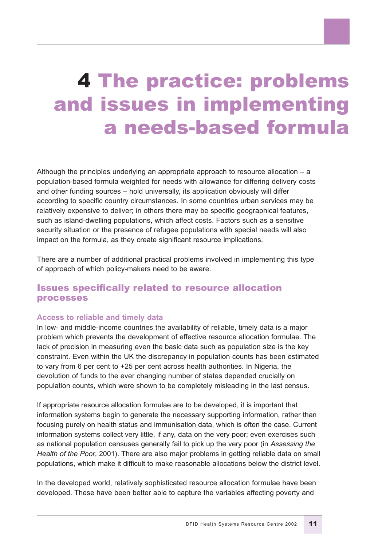### 4 The practice: problems and issues in implementing a needs-based formula

Although the principles underlying an appropriate approach to resource allocation – a population-based formula weighted for needs with allowance for differing delivery costs and other funding sources – hold universally, its application obviously will differ according to specific country circumstances. In some countries urban services may be relatively expensive to deliver; in others there may be specific geographical features, such as island-dwelling populations, which affect costs. Factors such as a sensitive security situation or the presence of refugee populations with special needs will also impact on the formula, as they create significant resource implications.

There are a number of additional practical problems involved in implementing this type of approach of which policy-makers need to be aware.

#### Issues specifically related to resource allocation processes

#### **Access to reliable and timely data**

In low- and middle-income countries the availability of reliable, timely data is a major problem which prevents the development of effective resource allocation formulae. The lack of precision in measuring even the basic data such as population size is the key constraint. Even within the UK the discrepancy in population counts has been estimated to vary from 6 per cent to +25 per cent across health authorities. In Nigeria, the devolution of funds to the ever changing number of states depended crucially on population counts, which were shown to be completely misleading in the last census.

If appropriate resource allocation formulae are to be developed, it is important that information systems begin to generate the necessary supporting information, rather than focusing purely on health status and immunisation data, which is often the case. Current information systems collect very little, if any, data on the very poor; even exercises such as national population censuses generally fail to pick up the very poor (in *Assessing the Health of the Poor*, 2001). There are also major problems in getting reliable data on small populations, which make it difficult to make reasonable allocations below the district level.

In the developed world, relatively sophisticated resource allocation formulae have been developed. These have been better able to capture the variables affecting poverty and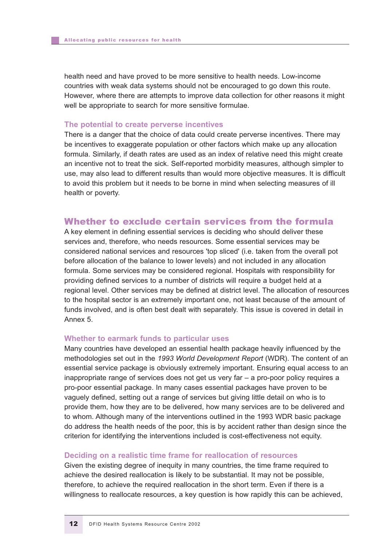health need and have proved to be more sensitive to health needs. Low-income countries with weak data systems should not be encouraged to go down this route. However, where there are attempts to improve data collection for other reasons it might well be appropriate to search for more sensitive formulae.

#### **The potential to create perverse incentives**

There is a danger that the choice of data could create perverse incentives. There may be incentives to exaggerate population or other factors which make up any allocation formula. Similarly, if death rates are used as an index of relative need this might create an incentive not to treat the sick. Self-reported morbidity measures, although simpler to use, may also lead to different results than would more objective measures. It is difficult to avoid this problem but it needs to be borne in mind when selecting measures of ill health or poverty.

#### Whether to exclude certain services from the formula

A key element in defining essential services is deciding who should deliver these services and, therefore, who needs resources. Some essential services may be considered national services and resources 'top sliced' (i.e. taken from the overall pot before allocation of the balance to lower levels) and not included in any allocation formula. Some services may be considered regional. Hospitals with responsibility for providing defined services to a number of districts will require a budget held at a regional level. Other services may be defined at district level. The allocation of resources to the hospital sector is an extremely important one, not least because of the amount of funds involved, and is often best dealt with separately. This issue is covered in detail in Annex 5.

#### **Whether to earmark funds to particular uses**

Many countries have developed an essential health package heavily influenced by the methodologies set out in the *1993 World Development Report* (WDR). The content of an essential service package is obviously extremely important. Ensuring equal access to an inappropriate range of services does not get us very far – a pro-poor policy requires a pro-poor essential package. In many cases essential packages have proven to be vaguely defined, setting out a range of services but giving little detail on who is to provide them, how they are to be delivered, how many services are to be delivered and to whom. Although many of the interventions outlined in the 1993 WDR basic package do address the health needs of the poor, this is by accident rather than design since the criterion for identifying the interventions included is cost-effectiveness not equity.

#### **Deciding on a realistic time frame for reallocation of resources**

Given the existing degree of inequity in many countries, the time frame required to achieve the desired reallocation is likely to be substantial. It may not be possible, therefore, to achieve the required reallocation in the short term. Even if there is a willingness to reallocate resources, a key question is how rapidly this can be achieved,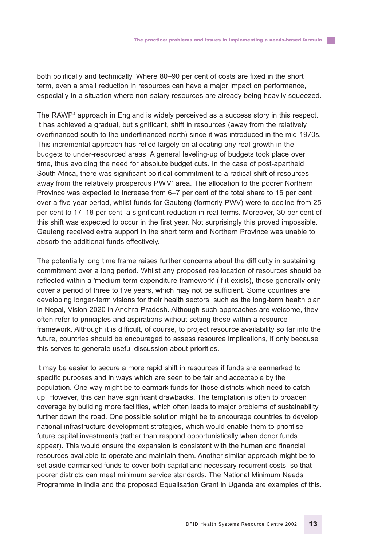both politically and technically. Where 80–90 per cent of costs are fixed in the short term, even a small reduction in resources can have a major impact on performance, especially in a situation where non-salary resources are already being heavily squeezed.

The RAWP<sup>4</sup> approach in England is widely perceived as a success story in this respect. It has achieved a gradual, but significant, shift in resources (away from the relatively overfinanced south to the underfinanced north) since it was introduced in the mid-1970s. This incremental approach has relied largely on allocating any real growth in the budgets to under-resourced areas. A general leveling-up of budgets took place over time, thus avoiding the need for absolute budget cuts. In the case of post-apartheid South Africa, there was significant political commitment to a radical shift of resources away from the relatively prosperous  $PWV<sup>5</sup>$  area. The allocation to the poorer Northern Province was expected to increase from 6–7 per cent of the total share to 15 per cent over a five-year period, whilst funds for Gauteng (formerly PWV) were to decline from 25 per cent to 17–18 per cent, a significant reduction in real terms. Moreover, 30 per cent of this shift was expected to occur in the first year. Not surprisingly this proved impossible. Gauteng received extra support in the short term and Northern Province was unable to absorb the additional funds effectively.

The potentially long time frame raises further concerns about the difficulty in sustaining commitment over a long period. Whilst any proposed reallocation of resources should be reflected within a 'medium-term expenditure framework' (if it exists), these generally only cover a period of three to five years, which may not be sufficient. Some countries are developing longer-term visions for their health sectors, such as the long-term health plan in Nepal, Vision 2020 in Andhra Pradesh. Although such approaches are welcome, they often refer to principles and aspirations without setting these within a resource framework. Although it is difficult, of course, to project resource availability so far into the future, countries should be encouraged to assess resource implications, if only because this serves to generate useful discussion about priorities.

It may be easier to secure a more rapid shift in resources if funds are earmarked to specific purposes and in ways which are seen to be fair and acceptable by the population. One way might be to earmark funds for those districts which need to catch up. However, this can have significant drawbacks. The temptation is often to broaden coverage by building more facilities, which often leads to major problems of sustainability further down the road. One possible solution might be to encourage countries to develop national infrastructure development strategies, which would enable them to prioritise future capital investments (rather than respond opportunistically when donor funds appear). This would ensure the expansion is consistent with the human and financial resources available to operate and maintain them. Another similar approach might be to set aside earmarked funds to cover both capital and necessary recurrent costs, so that poorer districts can meet minimum service standards. The National Minimum Needs Programme in India and the proposed Equalisation Grant in Uganda are examples of this.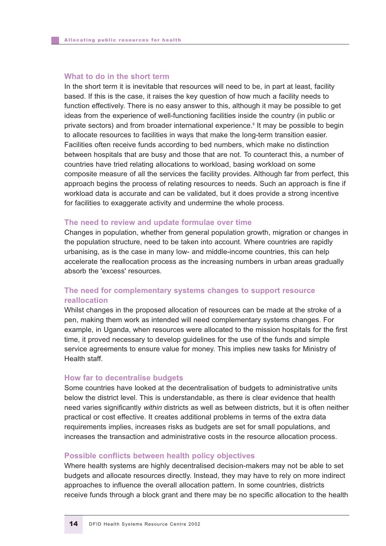#### **What to do in the short term**

In the short term it is inevitable that resources will need to be, in part at least, facility based. If this is the case, it raises the key question of how much a facility needs to function effectively. There is no easy answer to this, although it may be possible to get ideas from the experience of well-functioning facilities inside the country (in public or private sectors) and from broader international experience.<sup>6</sup> It may be possible to begin to allocate resources to facilities in ways that make the long-term transition easier. Facilities often receive funds according to bed numbers, which make no distinction between hospitals that are busy and those that are not. To counteract this, a number of countries have tried relating allocations to workload, basing workload on some composite measure of all the services the facility provides. Although far from perfect, this approach begins the process of relating resources to needs. Such an approach is fine if workload data is accurate and can be validated, but it does provide a strong incentive for facilities to exaggerate activity and undermine the whole process.

#### **The need to review and update formulae over time**

Changes in population, whether from general population growth, migration or changes in the population structure, need to be taken into account. Where countries are rapidly urbanising, as is the case in many low- and middle-income countries, this can help accelerate the reallocation process as the increasing numbers in urban areas gradually absorb the 'excess' resources.

#### **The need for complementary systems changes to support resource reallocation**

Whilst changes in the proposed allocation of resources can be made at the stroke of a pen, making them work as intended will need complementary systems changes. For example, in Uganda, when resources were allocated to the mission hospitals for the first time, it proved necessary to develop guidelines for the use of the funds and simple service agreements to ensure value for money. This implies new tasks for Ministry of Health staff.

#### **How far to decentralise budgets**

Some countries have looked at the decentralisation of budgets to administrative units below the district level. This is understandable, as there is clear evidence that health need varies significantly *within* districts as well as between districts, but it is often neither practical or cost effective. It creates additional problems in terms of the extra data requirements implies, increases risks as budgets are set for small populations, and increases the transaction and administrative costs in the resource allocation process.

#### **Possible conflicts between health policy objectives**

Where health systems are highly decentralised decision-makers may not be able to set budgets and allocate resources directly. Instead, they may have to rely on more indirect approaches to influence the overall allocation pattern. In some countries, districts receive funds through a block grant and there may be no specific allocation to the health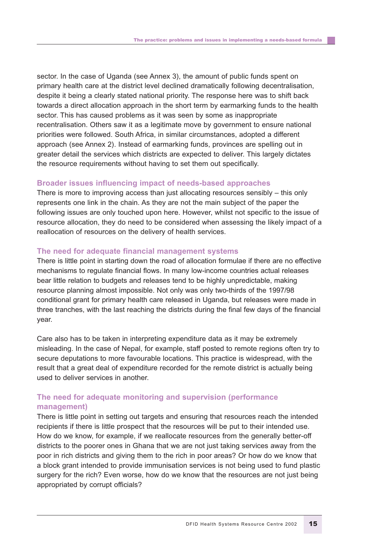sector. In the case of Uganda (see Annex 3), the amount of public funds spent on primary health care at the district level declined dramatically following decentralisation, despite it being a clearly stated national priority. The response here was to shift back towards a direct allocation approach in the short term by earmarking funds to the health sector. This has caused problems as it was seen by some as inappropriate recentralisation. Others saw it as a legitimate move by government to ensure national priorities were followed. South Africa, in similar circumstances, adopted a different approach (see Annex 2). Instead of earmarking funds, provinces are spelling out in greater detail the services which districts are expected to deliver. This largely dictates the resource requirements without having to set them out specifically.

#### **Broader issues influencing impact of needs-based approaches**

There is more to improving access than just allocating resources sensibly – this only represents one link in the chain. As they are not the main subject of the paper the following issues are only touched upon here. However, whilst not specific to the issue of resource allocation, they do need to be considered when assessing the likely impact of a reallocation of resources on the delivery of health services.

#### **The need for adequate financial management systems**

There is little point in starting down the road of allocation formulae if there are no effective mechanisms to regulate financial flows. In many low-income countries actual releases bear little relation to budgets and releases tend to be highly unpredictable, making resource planning almost impossible. Not only was only two-thirds of the 1997/98 conditional grant for primary health care released in Uganda, but releases were made in three tranches, with the last reaching the districts during the final few days of the financial year.

Care also has to be taken in interpreting expenditure data as it may be extremely misleading. In the case of Nepal, for example, staff posted to remote regions often try to secure deputations to more favourable locations. This practice is widespread, with the result that a great deal of expenditure recorded for the remote district is actually being used to deliver services in another.

#### **The need for adequate monitoring and supervision (performance management)**

There is little point in setting out targets and ensuring that resources reach the intended recipients if there is little prospect that the resources will be put to their intended use. How do we know, for example, if we reallocate resources from the generally better-off districts to the poorer ones in Ghana that we are not just taking services away from the poor in rich districts and giving them to the rich in poor areas? Or how do we know that a block grant intended to provide immunisation services is not being used to fund plastic surgery for the rich? Even worse, how do we know that the resources are not just being appropriated by corrupt officials?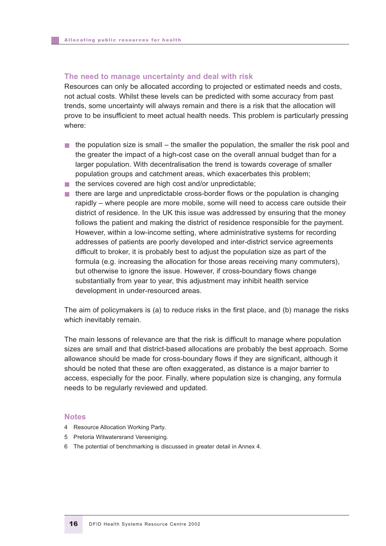#### **The need to manage uncertainty and deal with risk**

Resources can only be allocated according to projected or estimated needs and costs, not actual costs. Whilst these levels can be predicted with some accuracy from past trends, some uncertainty will always remain and there is a risk that the allocation will prove to be insufficient to meet actual health needs. This problem is particularly pressing where:

- $\blacksquare$  the population size is small the smaller the population, the smaller the risk pool and the greater the impact of a high-cost case on the overall annual budget than for a larger population. With decentralisation the trend is towards coverage of smaller population groups and catchment areas, which exacerbates this problem;
- the services covered are high cost and/or unpredictable;
- there are large and unpredictable cross-border flows or the population is changing rapidly – where people are more mobile, some will need to access care outside their district of residence. In the UK this issue was addressed by ensuring that the money follows the patient and making the district of residence responsible for the payment. However, within a low-income setting, where administrative systems for recording addresses of patients are poorly developed and inter-district service agreements difficult to broker, it is probably best to adjust the population size as part of the formula (e.g. increasing the allocation for those areas receiving many commuters), but otherwise to ignore the issue. However, if cross-boundary flows change substantially from year to year, this adjustment may inhibit health service development in under-resourced areas.

The aim of policymakers is (a) to reduce risks in the first place, and (b) manage the risks which inevitably remain.

The main lessons of relevance are that the risk is difficult to manage where population sizes are small and that district-based allocations are probably the best approach. Some allowance should be made for cross-boundary flows if they are significant, although it should be noted that these are often exaggerated, as distance is a major barrier to access, especially for the poor. Finally, where population size is changing, any formula needs to be regularly reviewed and updated.

#### **Notes**

- 4 Resource Allocation Working Party.
- 5 Pretoria Witwatersrand Vereeniging.
- 6 The potential of benchmarking is discussed in greater detail in Annex 4.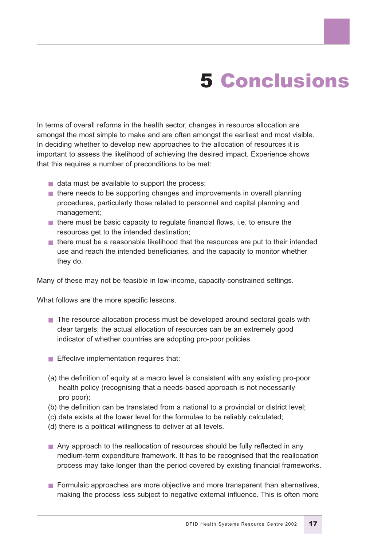## 5 Conclusions

In terms of overall reforms in the health sector, changes in resource allocation are amongst the most simple to make and are often amongst the earliest and most visible. In deciding whether to develop new approaches to the allocation of resources it is important to assess the likelihood of achieving the desired impact. Experience shows that this requires a number of preconditions to be met:

- data must be available to support the process:
- there needs to be supporting changes and improvements in overall planning procedures, particularly those related to personnel and capital planning and management;
- there must be basic capacity to regulate financial flows, i.e. to ensure the resources get to the intended destination;
- there must be a reasonable likelihood that the resources are put to their intended use and reach the intended beneficiaries, and the capacity to monitor whether they do.

Many of these may not be feasible in low-income, capacity-constrained settings.

What follows are the more specific lessons.

- The resource allocation process must be developed around sectoral goals with clear targets; the actual allocation of resources can be an extremely good indicator of whether countries are adopting pro-poor policies.
- Effective implementation requires that:
- (a) the definition of equity at a macro level is consistent with any existing pro-poor health policy (recognising that a needs-based approach is not necessarily pro poor);
- (b) the definition can be translated from a national to a provincial or district level;
- (c) data exists at the lower level for the formulae to be reliably calculated;
- (d) there is a political willingness to deliver at all levels.
- Any approach to the reallocation of resources should be fully reflected in any medium-term expenditure framework. It has to be recognised that the reallocation process may take longer than the period covered by existing financial frameworks.
- Formulaic approaches are more objective and more transparent than alternatives, making the process less subject to negative external influence. This is often more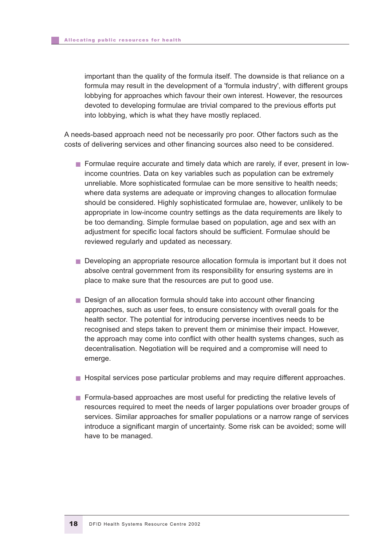important than the quality of the formula itself. The downside is that reliance on a formula may result in the development of a 'formula industry', with different groups lobbying for approaches which favour their own interest. However, the resources devoted to developing formulae are trivial compared to the previous efforts put into lobbying, which is what they have mostly replaced.

A needs-based approach need not be necessarily pro poor. Other factors such as the costs of delivering services and other financing sources also need to be considered.

- Formulae require accurate and timely data which are rarely, if ever, present in lowincome countries. Data on key variables such as population can be extremely unreliable. More sophisticated formulae can be more sensitive to health needs; where data systems are adequate or improving changes to allocation formulae should be considered. Highly sophisticated formulae are, however, unlikely to be appropriate in low-income country settings as the data requirements are likely to be too demanding. Simple formulae based on population, age and sex with an adjustment for specific local factors should be sufficient. Formulae should be reviewed regularly and updated as necessary.
- Developing an appropriate resource allocation formula is important but it does not absolve central government from its responsibility for ensuring systems are in place to make sure that the resources are put to good use.
- Design of an allocation formula should take into account other financing approaches, such as user fees, to ensure consistency with overall goals for the health sector. The potential for introducing perverse incentives needs to be recognised and steps taken to prevent them or minimise their impact. However, the approach may come into conflict with other health systems changes, such as decentralisation. Negotiation will be required and a compromise will need to emerge.
- Hospital services pose particular problems and may require different approaches.
- Formula-based approaches are most useful for predicting the relative levels of resources required to meet the needs of larger populations over broader groups of services. Similar approaches for smaller populations or a narrow range of services introduce a significant margin of uncertainty. Some risk can be avoided; some will have to be managed.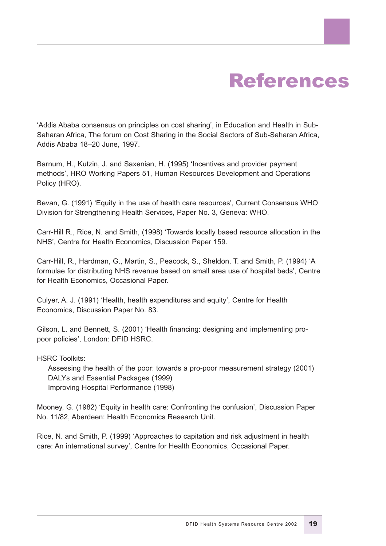### References

'Addis Ababa consensus on principles on cost sharing', in Education and Health in Sub-Saharan Africa, The forum on Cost Sharing in the Social Sectors of Sub-Saharan Africa, Addis Ababa 18–20 June, 1997.

Barnum, H., Kutzin, J. and Saxenian, H. (1995) 'Incentives and provider payment methods', HRO Working Papers 51, Human Resources Development and Operations Policy (HRO).

Bevan, G. (1991) 'Equity in the use of health care resources', Current Consensus WHO Division for Strengthening Health Services, Paper No. 3, Geneva: WHO.

Carr-Hill R., Rice, N. and Smith, (1998) 'Towards locally based resource allocation in the NHS', Centre for Health Economics, Discussion Paper 159.

Carr-Hill, R., Hardman, G., Martin, S., Peacock, S., Sheldon, T. and Smith, P. (1994) 'A formulae for distributing NHS revenue based on small area use of hospital beds', Centre for Health Economics, Occasional Paper.

Culyer, A. J. (1991) 'Health, health expenditures and equity', Centre for Health Economics, Discussion Paper No. 83.

Gilson, L. and Bennett, S. (2001) 'Health financing: designing and implementing propoor policies', London: DFID HSRC.

HSRC Toolkits:

Assessing the health of the poor: towards a pro-poor measurement strategy (2001) DALYs and Essential Packages (1999) Improving Hospital Performance (1998)

Mooney, G. (1982) 'Equity in health care: Confronting the confusion', Discussion Paper No. 11/82, Aberdeen: Health Economics Research Unit.

Rice, N. and Smith, P. (1999) 'Approaches to capitation and risk adjustment in health care: An international survey', Centre for Health Economics, Occasional Paper.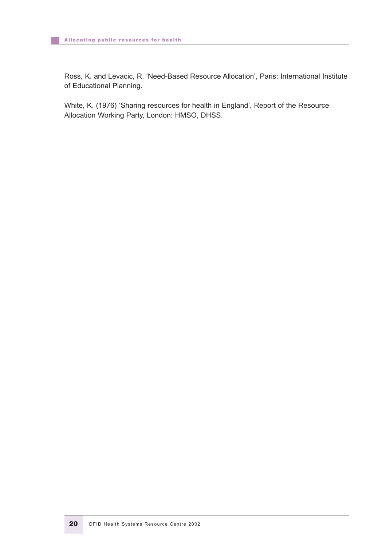Ross, K. and Levacic, R. 'Need-Based Resource Allocation', Paris: International Institute of Educational Planning.

White, K. (1976) 'Sharing resources for health in England', Report of the Resource Allocation Working Party, London: HMSO, DHSS.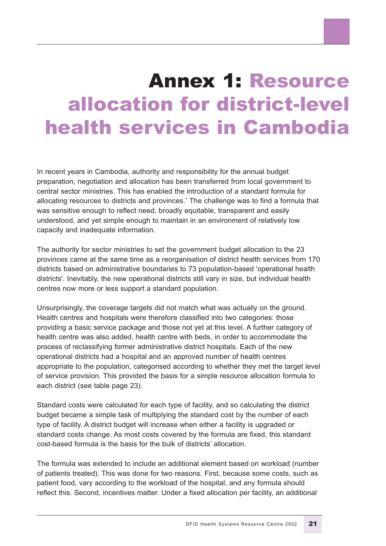### Annex 1: Resource allocation for district-level health services in Cambodia

In recent years in Cambodia, authority and responsibility for the annual budget preparation, negotiation and allocation has been transferred from local government to central sector ministries. This has enabled the introduction of a standard formula for allocating resources to districts and provinces.<sup>7</sup> The challenge was to find a formula that was sensitive enough to reflect need, broadly equitable, transparent and easily understood, and yet simple enough to maintain in an environment of relatively low capacity and inadequate information.

The authority for sector ministries to set the government budget allocation to the 23 provinces came at the same time as a reorganisation of district health services from 170 districts based on administrative boundaries to 73 population-based 'operational health districts'. Inevitably, the new operational districts still vary in size, but individual health centres now more or less support a standard population.

Unsurprisingly, the coverage targets did not match what was actually on the ground. Health centres and hospitals were therefore classified into two categories: those providing a basic service package and those not yet at this level. A further category of health centre was also added, health centre with beds, in order to accommodate the process of reclassifying former administrative district hospitals. Each of the new operational districts had a hospital and an approved number of health centres appropriate to the population, categorised according to whether they met the target level of service provision. This provided the basis for a simple resource allocation formula to each district (see table page 23).

Standard costs were calculated for each type of facility, and so calculating the district budget became a simple task of multiplying the standard cost by the number of each type of facility. A district budget will increase when either a facility is upgraded or standard costs change. As most costs covered by the formula are fixed, this standard cost-based formula is the basis for the bulk of districts' allocation.

The formula was extended to include an additional element based on workload (number of patients treated). This was done for two reasons. First, because some costs, such as patient food, vary according to the workload of the hospital, and any formula should reflect this. Second, incentives matter. Under a fixed allocation per facility, an additional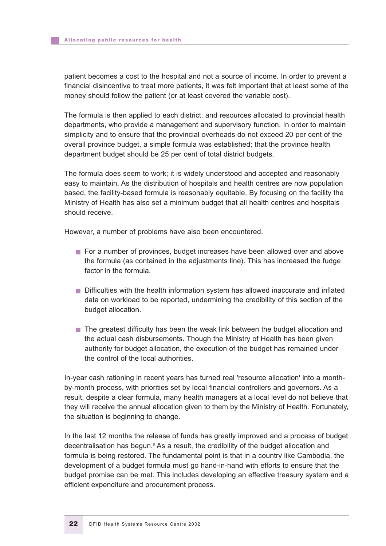patient becomes a cost to the hospital and not a source of income. In order to prevent a financial disincentive to treat more patients, it was felt important that at least some of the money should follow the patient (or at least covered the variable cost).

The formula is then applied to each district, and resources allocated to provincial health departments, who provide a management and supervisory function. In order to maintain simplicity and to ensure that the provincial overheads do not exceed 20 per cent of the overall province budget, a simple formula was established; that the province health department budget should be 25 per cent of total district budgets.

The formula does seem to work; it is widely understood and accepted and reasonably easy to maintain. As the distribution of hospitals and health centres are now population based, the facility-based formula is reasonably equitable. By focusing on the facility the Ministry of Health has also set a minimum budget that all health centres and hospitals should receive.

However, a number of problems have also been encountered.

- For a number of provinces, budget increases have been allowed over and above the formula (as contained in the adjustments line). This has increased the fudge factor in the formula.
- Difficulties with the health information system has allowed inaccurate and inflated data on workload to be reported, undermining the credibility of this section of the budget allocation.
- The greatest difficulty has been the weak link between the budget allocation and the actual cash disbursements. Though the Ministry of Health has been given authority for budget allocation, the execution of the budget has remained under the control of the local authorities.

In-year cash rationing in recent years has turned real 'resource allocation' into a monthby-month process, with priorities set by local financial controllers and governors. As a result, despite a clear formula, many health managers at a local level do not believe that they will receive the annual allocation given to them by the Ministry of Health. Fortunately, the situation is beginning to change.

In the last 12 months the release of funds has greatly improved and a process of budget decentralisation has begun.<sup>8</sup> As a result, the credibility of the budget allocation and formula is being restored. The fundamental point is that in a country like Cambodia, the development of a budget formula must go hand-in-hand with efforts to ensure that the budget promise can be met. This includes developing an effective treasury system and a efficient expenditure and procurement process.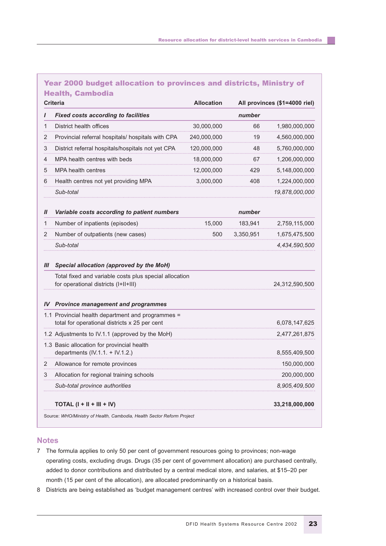#### Year 2000 budget allocation to provinces and districts, Ministry of Health, Cambodia

|                  | <b>Criteria</b>                                                                                    | <b>Allocation</b> |           | All provinces (\$1=4000 riel) |
|------------------|----------------------------------------------------------------------------------------------------|-------------------|-----------|-------------------------------|
|                  | <b>Fixed costs according to facilities</b>                                                         |                   | number    |                               |
| 1                | District health offices                                                                            | 30,000,000        | 66        | 1,980,000,000                 |
| 2                | Provincial referral hospitals/ hospitals with CPA                                                  | 240,000,000       | 19        | 4,560,000,000                 |
| 3                | District referral hospitals/hospitals not yet CPA                                                  | 120,000,000       | 48        | 5,760,000,000                 |
| 4                | MPA health centres with beds                                                                       | 18,000,000        | 67        | 1,206,000,000                 |
| 5                | <b>MPA health centres</b>                                                                          | 12,000,000        | 429       | 5,148,000,000                 |
| 6                | Health centres not yet providing MPA                                                               | 3,000,000         | 408       | 1,224,000,000                 |
|                  | Sub-total                                                                                          |                   |           | 19,878,000,000                |
| $\boldsymbol{H}$ | Variable costs according to patient numbers                                                        |                   | number    |                               |
| 1                | Number of inpatients (episodes)                                                                    | 15,000            | 183,941   | 2,759,115,000                 |
| 2                | Number of outpatients (new cases)                                                                  | 500               | 3,350,951 | 1,675,475,500                 |
|                  | Sub-total                                                                                          |                   |           | 4,434,590,500                 |
| Ш                | Special allocation (approved by the MoH)                                                           |                   |           |                               |
|                  | Total fixed and variable costs plus special allocation<br>for operational districts (I+II+III)     |                   |           | 24,312,590,500                |
| IV               | <b>Province management and programmes</b>                                                          |                   |           |                               |
|                  | 1.1 Provincial health department and programmes =<br>total for operational districts x 25 per cent |                   |           | 6,078,147,625                 |
|                  | 1.2 Adjustments to IV.1.1 (approved by the MoH)                                                    |                   |           | 2,477,261,875                 |
|                  | 1.3 Basic allocation for provincial health<br>departments $(IV.1.1. + IV.1.2.)$                    |                   |           | 8,555,409,500                 |
| 2                | Allowance for remote provinces                                                                     |                   |           | 150,000,000                   |
| 3                | Allocation for regional training schools                                                           |                   |           | 200,000,000                   |
|                  | Sub-total province authorities                                                                     |                   |           | 8,905,409,500                 |
|                  | TOTAL $(I + II + III + IV)$                                                                        |                   |           | 33,218,000,000                |

Source: *WHO/Ministry of Health, Cambodia, Health Sector Reform Project*

#### **Notes**

- 7 The formula applies to only 50 per cent of government resources going to provinces; non-wage operating costs, excluding drugs. Drugs (35 per cent of government allocation) are purchased centrally, added to donor contributions and distributed by a central medical store, and salaries, at \$15–20 per month (15 per cent of the allocation), are allocated predominantly on a historical basis.
- 8 Districts are being established as 'budget management centres' with increased control over their budget.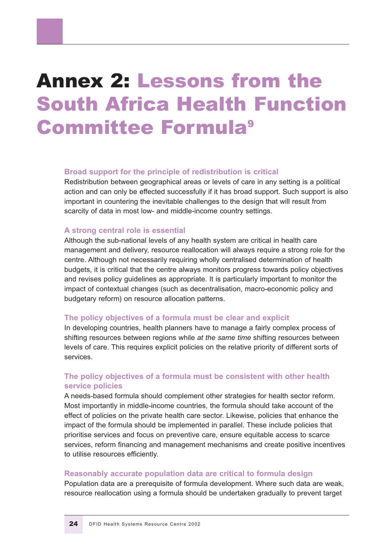### Annex 2: Lessons from the South Africa Health Function Committee Formula9

#### **Broad support for the principle of redistribution is critical**

Redistribution between geographical areas or levels of care in any setting is a political action and can only be effected successfully if it has broad support. Such support is also important in countering the inevitable challenges to the design that will result from scarcity of data in most low- and middle-income country settings.

#### **A strong central role is essential**

Although the sub-national levels of any health system are critical in health care management and delivery, resource reallocation will always require a strong role for the centre. Although not necessarily requiring wholly centralised determination of health budgets, it is critical that the centre always monitors progress towards policy objectives and revises policy guidelines as appropriate. It is particularly important to monitor the impact of contextual changes (such as decentralisation, macro-economic policy and budgetary reform) on resource allocation patterns.

#### **The policy objectives of a formula must be clear and explicit**

In developing countries, health planners have to manage a fairly complex process of shifting resources between regions while *at the same time* shifting resources between levels of care. This requires explicit policies on the relative priority of different sorts of services.

#### **The policy objectives of a formula must be consistent with other health service policies**

A needs-based formula should complement other strategies for health sector reform. Most importantly in middle-income countries, the formula should take account of the effect of policies on the private health care sector. Likewise, policies that enhance the impact of the formula should be implemented in parallel. These include policies that prioritise services and focus on preventive care, ensure equitable access to scarce services, reform financing and management mechanisms and create positive incentives to utilise resources efficiently.

#### **Reasonably accurate population data are critical to formula design**

Population data are a prerequisite of formula development. Where such data are weak, resource reallocation using a formula should be undertaken gradually to prevent target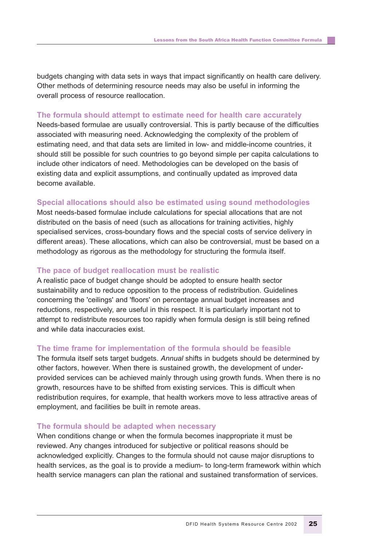budgets changing with data sets in ways that impact significantly on health care delivery. Other methods of determining resource needs may also be useful in informing the overall process of resource reallocation.

#### **The formula should attempt to estimate need for health care accurately**

Needs-based formulae are usually controversial. This is partly because of the difficulties associated with measuring need. Acknowledging the complexity of the problem of estimating need, and that data sets are limited in low- and middle-income countries, it should still be possible for such countries to go beyond simple per capita calculations to include other indicators of need. Methodologies can be developed on the basis of existing data and explicit assumptions, and continually updated as improved data become available.

#### **Special allocations should also be estimated using sound methodologies**

Most needs-based formulae include calculations for special allocations that are not distributed on the basis of need (such as allocations for training activities, highly specialised services, cross-boundary flows and the special costs of service delivery in different areas). These allocations, which can also be controversial, must be based on a methodology as rigorous as the methodology for structuring the formula itself.

#### **The pace of budget reallocation must be realistic**

A realistic pace of budget change should be adopted to ensure health sector sustainability and to reduce opposition to the process of redistribution. Guidelines concerning the 'ceilings' and 'floors' on percentage annual budget increases and reductions, respectively, are useful in this respect. It is particularly important not to attempt to redistribute resources too rapidly when formula design is still being refined and while data inaccuracies exist.

#### **The time frame for implementation of the formula should be feasible**

The formula itself sets target budgets. *Annual* shifts in budgets should be determined by other factors, however. When there is sustained growth, the development of underprovided services can be achieved mainly through using growth funds. When there is no growth, resources have to be shifted from existing services. This is difficult when redistribution requires, for example, that health workers move to less attractive areas of employment, and facilities be built in remote areas.

#### **The formula should be adapted when necessary**

When conditions change or when the formula becomes inappropriate it must be reviewed. Any changes introduced for subjective or political reasons should be acknowledged explicitly. Changes to the formula should not cause major disruptions to health services, as the goal is to provide a medium- to long-term framework within which health service managers can plan the rational and sustained transformation of services.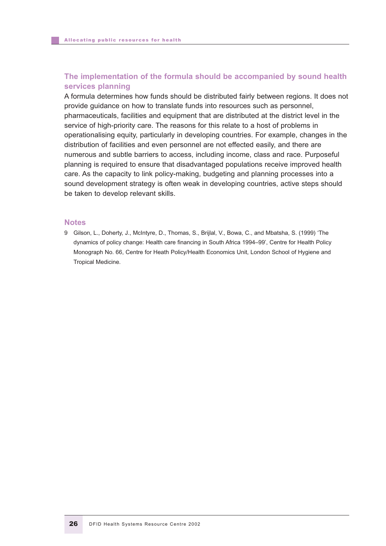#### **The implementation of the formula should be accompanied by sound health services planning**

A formula determines how funds should be distributed fairly between regions. It does not provide guidance on how to translate funds into resources such as personnel, pharmaceuticals, facilities and equipment that are distributed at the district level in the service of high-priority care. The reasons for this relate to a host of problems in operationalising equity, particularly in developing countries. For example, changes in the distribution of facilities and even personnel are not effected easily, and there are numerous and subtle barriers to access, including income, class and race. Purposeful planning is required to ensure that disadvantaged populations receive improved health care. As the capacity to link policy-making, budgeting and planning processes into a sound development strategy is often weak in developing countries, active steps should be taken to develop relevant skills.

#### **Notes**

9 Gilson, L., Doherty, J., McIntyre, D., Thomas, S., Brijlal, V., Bowa, C., and Mbatsha, S. (1999) 'The dynamics of policy change: Health care financing in South Africa 1994–99', Centre for Health Policy Monograph No. 66, Centre for Heath Policy/Health Economics Unit, London School of Hygiene and Tropical Medicine.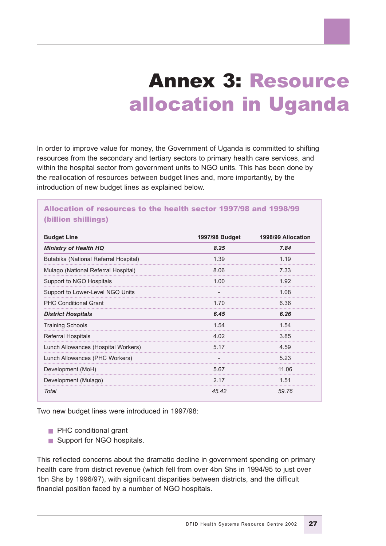### Annex 3: Resource allocation in Uganda

In order to improve value for money, the Government of Uganda is committed to shifting resources from the secondary and tertiary sectors to primary health care services, and within the hospital sector from government units to NGO units. This has been done by the reallocation of resources between budget lines and, more importantly, by the introduction of new budget lines as explained below.

#### Allocation of resources to the health sector 1997/98 and 1998/99 (billion shillings)

| <b>Budget Line</b>                    | 1997/98 Budget | 1998/99 Allocation |
|---------------------------------------|----------------|--------------------|
| <b>Ministry of Health HQ</b>          | 8.25           | 7.84               |
| Butabika (National Referral Hospital) | 1.39           | 1.19               |
| Mulago (National Referral Hospital)   | 8.06           | 7.33               |
| Support to NGO Hospitals              | 1.00           | 1.92               |
| Support to Lower-Level NGO Units      |                | 1.08               |
| <b>PHC Conditional Grant</b>          | 1.70           | 6.36               |
| <b>District Hospitals</b>             | 6.45           | 6.26               |
| <b>Training Schools</b>               | 1.54           | 1.54               |
| <b>Referral Hospitals</b>             | 4.02           | 3.85               |
| Lunch Allowances (Hospital Workers)   | 5.17           | 4.59               |
| Lunch Allowances (PHC Workers)        |                | 5.23               |
| Development (MoH)                     | 5.67           | 11.06              |
| Development (Mulago)                  | 2.17           | 1.51               |
| Total                                 | 45.42          | 59.76              |

Two new budget lines were introduced in 1997/98:

- PHC conditional grant
- Support for NGO hospitals.

This reflected concerns about the dramatic decline in government spending on primary health care from district revenue (which fell from over 4bn Shs in 1994/95 to just over 1bn Shs by 1996/97), with significant disparities between districts, and the difficult financial position faced by a number of NGO hospitals.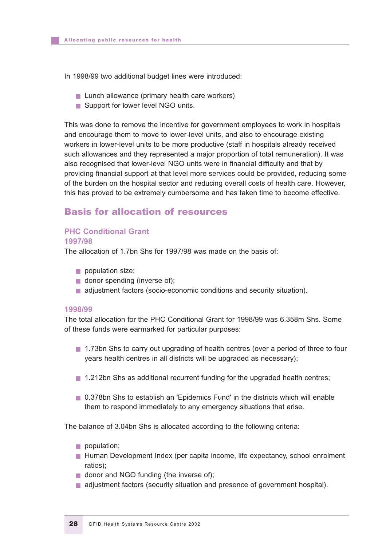In 1998/99 two additional budget lines were introduced:

- Lunch allowance (primary health care workers)
- Support for lower level NGO units.

This was done to remove the incentive for government employees to work in hospitals and encourage them to move to lower-level units, and also to encourage existing workers in lower-level units to be more productive (staff in hospitals already received such allowances and they represented a major proportion of total remuneration). It was also recognised that lower-level NGO units were in financial difficulty and that by providing financial support at that level more services could be provided, reducing some of the burden on the hospital sector and reducing overall costs of health care. However, this has proved to be extremely cumbersome and has taken time to become effective.

#### Basis for allocation of resources

#### **PHC Conditional Grant 1997/98**

The allocation of 1.7bn Shs for 1997/98 was made on the basis of:

- population size;
- donor spending (inverse of);
- adjustment factors (socio-economic conditions and security situation).

#### **1998/99**

The total allocation for the PHC Conditional Grant for 1998/99 was 6.358m Shs. Some of these funds were earmarked for particular purposes:

- 1.73bn Shs to carry out upgrading of health centres (over a period of three to four years health centres in all districts will be upgraded as necessary);
- 1.212bn Shs as additional recurrent funding for the upgraded health centres;
- 0.378bn Shs to establish an 'Epidemics Fund' in the districts which will enable them to respond immediately to any emergency situations that arise.

The balance of 3.04bn Shs is allocated according to the following criteria:

- population;
- Human Development Index (per capita income, life expectancy, school enrolment ratios);
- donor and NGO funding (the inverse of);
- adjustment factors (security situation and presence of government hospital).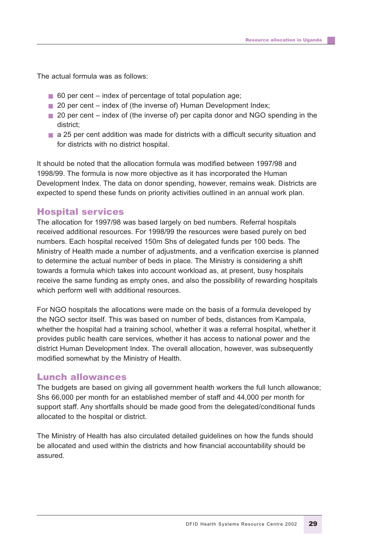The actual formula was as follows:

- 60 per cent index of percentage of total population age;
- 20 per cent index of (the inverse of) Human Development Index;
- 20 per cent index of (the inverse of) per capita donor and NGO spending in the district;
- a 25 per cent addition was made for districts with a difficult security situation and for districts with no district hospital.

It should be noted that the allocation formula was modified between 1997/98 and 1998/99. The formula is now more objective as it has incorporated the Human Development Index. The data on donor spending, however, remains weak. Districts are expected to spend these funds on priority activities outlined in an annual work plan.

#### Hospital services

The allocation for 1997/98 was based largely on bed numbers. Referral hospitals received additional resources. For 1998/99 the resources were based purely on bed numbers. Each hospital received 150m Shs of delegated funds per 100 beds. The Ministry of Health made a number of adjustments, and a verification exercise is planned to determine the actual number of beds in place. The Ministry is considering a shift towards a formula which takes into account workload as, at present, busy hospitals receive the same funding as empty ones, and also the possibility of rewarding hospitals which perform well with additional resources.

For NGO hospitals the allocations were made on the basis of a formula developed by the NGO sector itself. This was based on number of beds, distances from Kampala, whether the hospital had a training school, whether it was a referral hospital, whether it provides public health care services, whether it has access to national power and the district Human Development Index. The overall allocation, however, was subsequently modified somewhat by the Ministry of Health.

#### Lunch allowances

The budgets are based on giving all government health workers the full lunch allowance; Shs 66,000 per month for an established member of staff and 44,000 per month for support staff. Any shortfalls should be made good from the delegated/conditional funds allocated to the hospital or district.

The Ministry of Health has also circulated detailed guidelines on how the funds should be allocated and used within the districts and how financial accountability should be assured.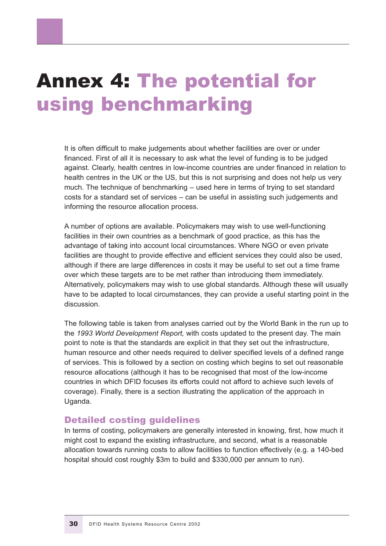### Annex 4: The potential for using benchmarking

It is often difficult to make judgements about whether facilities are over or under financed. First of all it is necessary to ask what the level of funding is to be judged against. Clearly, health centres in low-income countries are under financed in relation to health centres in the UK or the US, but this is not surprising and does not help us very much. The technique of benchmarking – used here in terms of trying to set standard costs for a standard set of services – can be useful in assisting such judgements and informing the resource allocation process.

A number of options are available. Policymakers may wish to use well-functioning facilities in their own countries as a benchmark of good practice, as this has the advantage of taking into account local circumstances. Where NGO or even private facilities are thought to provide effective and efficient services they could also be used, although if there are large differences in costs it may be useful to set out a time frame over which these targets are to be met rather than introducing them immediately. Alternatively, policymakers may wish to use global standards. Although these will usually have to be adapted to local circumstances, they can provide a useful starting point in the discussion.

The following table is taken from analyses carried out by the World Bank in the run up to the *1993 World Development Report,* with costs updated to the present day. The main point to note is that the standards are explicit in that they set out the infrastructure, human resource and other needs required to deliver specified levels of a defined range of services. This is followed by a section on costing which begins to set out reasonable resource allocations (although it has to be recognised that most of the low-income countries in which DFID focuses its efforts could not afford to achieve such levels of coverage). Finally, there is a section illustrating the application of the approach in Uganda.

#### Detailed costing guidelines

In terms of costing, policymakers are generally interested in knowing, first, how much it might cost to expand the existing infrastructure, and second, what is a reasonable allocation towards running costs to allow facilities to function effectively (e.g. a 140-bed hospital should cost roughly \$3m to build and \$330,000 per annum to run).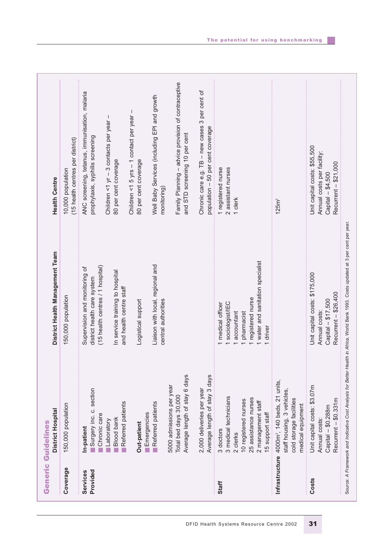|                      | District Hospital                                                                                                                        | District Health Management Team                                                                                                       | <b>Health Centre</b>                                                                                    |
|----------------------|------------------------------------------------------------------------------------------------------------------------------------------|---------------------------------------------------------------------------------------------------------------------------------------|---------------------------------------------------------------------------------------------------------|
| Coverage             | 150,000 population                                                                                                                       | 150,000 population                                                                                                                    | (15 health centres per district)<br>10,000 population                                                   |
| Provided<br>Services | Surgery inc. c. section<br>Chronic care<br>In-patient                                                                                    | (15 health centres / 1 hospital)<br>Supervision and monitoring of<br>district health care system                                      | ANC screening, tetanus, immunisation, malaria<br>prophylaxis, syphilis screening                        |
|                      | Referred patients<br><b>Blood bank</b><br>Laboratory<br>m.                                                                               | In service training to hospital<br>and health centre staff                                                                            | $\mathbf{I}$<br>Children <1 yr - 3 contacts per year<br>80 per cent coverage                            |
|                      | Out-patient                                                                                                                              | Logistical support                                                                                                                    | Children <1 5 yrs - 1 contact per year -<br>80 per cent coverage                                        |
|                      | Referred patients<br>Emergencies                                                                                                         | Liaison with local, regional and<br>central authorities                                                                               | Well Baby Services (including EPI and growth<br>monitoring)                                             |
|                      | Average length of stay 6 days<br>5000 admissions per year<br>Total bed days 30,000                                                       |                                                                                                                                       | Family Planning - advice provision of contraceptive<br>and STD screening 10 per cent                    |
|                      | Average length of stay 3 days<br>2,000 deliveries per year                                                                               |                                                                                                                                       | Chronic care e.g. TB - new cases 3 per cent of<br>population - 50 per cent coverage                     |
| Staff                | 3 medical technicians<br>25 assistance nurses<br>10 registered nurses<br>2 management staff<br>15 support staff<br>3 doctors<br>2 clerks | 1 water and sanitation specialist<br>registered nurse<br>sociologist/IEC<br>1 medical officer<br>accountant<br>pharmacist<br>1 driver | 1 registered nurse<br>2 assistant nurses<br>1 clerk                                                     |
|                      | Infrastructure 4000m <sup>2</sup> , 140 beds, 21 units,<br>staff housing, 3 vehicles,<br>cold storage facilities<br>medical equipment    |                                                                                                                                       | 125m <sup>2</sup>                                                                                       |
| Costs                | Unit capital costs: \$3.07m<br>Recurrent - \$0.331m<br>Capital - \$0.288m<br>Annual costs:                                               | Unit capital costs: \$175,000<br>Recurrent - \$26,400<br>Capital - \$17,500<br>Annual costs:                                          | Unit capital costs: \$55,500<br>Annual costs per facility:<br>Recurrent - \$21,000<br>Capital - \$4,500 |

DFID Health Systems Resource Centre 2002 31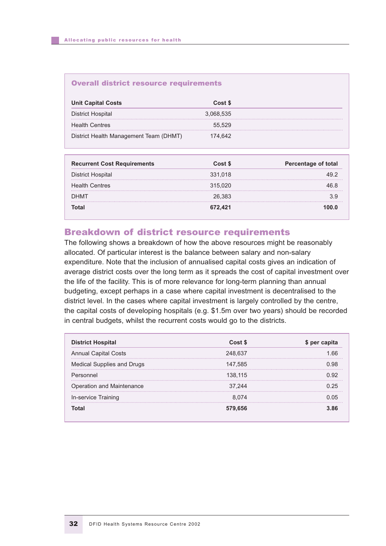#### Overall district resource requirements

| <b>Unit Capital Costs</b>              | Cost \$   |
|----------------------------------------|-----------|
| District Hospital                      | 3,068,535 |
| <b>Health Centres</b>                  | 55.529    |
| District Health Management Team (DHMT) | 174.642   |

| <b>Recurrent Cost Requirements</b> | Cost \$ | <b>Percentage of total</b> |
|------------------------------------|---------|----------------------------|
| <b>District Hospital</b>           | 331,018 | 49 2                       |
| <b>Health Centres</b>              | 315,020 | 46 R                       |
| <b>DHMT</b>                        | 26.383  | 39                         |
| Г∩tal                              | 672.421 | 100 O                      |

#### Breakdown of district resource requirements

The following shows a breakdown of how the above resources might be reasonably allocated. Of particular interest is the balance between salary and non-salary expenditure. Note that the inclusion of annualised capital costs gives an indication of average district costs over the long term as it spreads the cost of capital investment over the life of the facility. This is of more relevance for long-term planning than annual budgeting, except perhaps in a case where capital investment is decentralised to the district level. In the cases where capital investment is largely controlled by the centre, the capital costs of developing hospitals (e.g. \$1.5m over two years) should be recorded in central budgets, whilst the recurrent costs would go to the districts.

| <b>District Hospital</b>    | Cost \$ | \$ per capita |
|-----------------------------|---------|---------------|
| <b>Annual Capital Costs</b> | 248,637 | 1.66          |
| Medical Supplies and Drugs  | 147,585 | 0.98          |
| Personnel                   | 138,115 | 0.92          |
| Operation and Maintenance   | 37,244  | O 25          |
| In-service Training         | 8.074   | 0 0.5         |
| Total                       | 579,656 | 3.86          |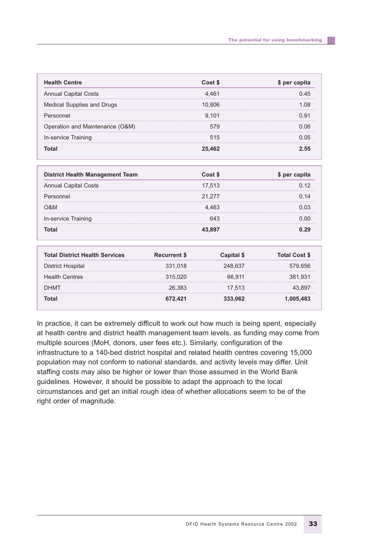| <b>Health Centre</b>              | Cost \$ | \$ per capita |
|-----------------------------------|---------|---------------|
| <b>Annual Capital Costs</b>       | 4.461   | 0.45          |
| <b>Medical Supplies and Drugs</b> | 10,806  | 1.08          |
| Personnel                         | 9,101   | 0.91          |
| Operation and Maintenance (O&M)   | 579     | 0.06          |
| In-service Training               | 515     | 0 0.5         |
| Total                             | 25,462  | フ 55          |

| <b>District Health Management Team</b> | Cost \$ | \$ per capita |
|----------------------------------------|---------|---------------|
| <b>Annual Capital Costs</b>            | 17,513  | 0.12          |
| Personnel                              | 21,277  | 0.14          |
| O&M                                    | 4.463   | 0.03          |
| In-service Training                    | 643     | 0.00          |
| Total                                  | 43.897  | n oa          |

| <b>Total District Health Services</b> | <b>Recurrent \$</b> | Capital \$ | <b>Total Cost \$</b> |
|---------------------------------------|---------------------|------------|----------------------|
| District Hospital                     | 331.018             | 248.637    | 579,656              |
| <b>Health Centres</b>                 | 315,020             | 66.911     | 381.931              |
| <b>DHMT</b>                           | 26.383              | 17.513     | 43.897               |
| Total                                 | 672.421             | 333.062    | 1,005,483            |

In practice, it can be extremely difficult to work out how much is being spent, especially at health centre and district health management team levels, as funding may come from multiple sources (MoH, donors, user fees etc.). Similarly, configuration of the infrastructure to a 140-bed district hospital and related health centres covering 15,000 population may not conform to national standards, and activity levels may differ. Unit staffing costs may also be higher or lower than those assumed in the World Bank guidelines. However, it should be possible to adapt the approach to the local circumstances and get an initial rough idea of whether allocations seem to be of the right order of magnitude.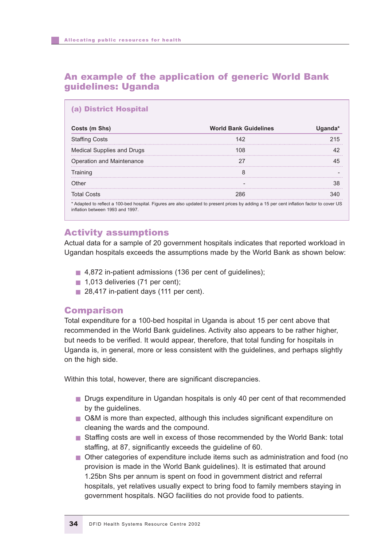#### An example of the application of generic World Bank guidelines: Uganda

| Costs (m Shs)              | <b>World Bank Guidelines</b> | Uganda* |
|----------------------------|------------------------------|---------|
| <b>Staffing Costs</b>      | 142                          | 215     |
| Medical Supplies and Drugs | 108                          | 42      |
| Operation and Maintenance  | 27                           | 45      |
| Training                   | 8                            |         |
| Other                      |                              | 38      |
| <b>Total Costs</b>         | 286                          | 340     |

#### Activity assumptions

Actual data for a sample of 20 government hospitals indicates that reported workload in Ugandan hospitals exceeds the assumptions made by the World Bank as shown below:

- 4,872 in-patient admissions (136 per cent of guidelines);
- 1,013 deliveries (71 per cent);
- 28,417 in-patient days (111 per cent).

#### Comparison

Total expenditure for a 100-bed hospital in Uganda is about 15 per cent above that recommended in the World Bank guidelines. Activity also appears to be rather higher, but needs to be verified. It would appear, therefore, that total funding for hospitals in Uganda is, in general, more or less consistent with the guidelines, and perhaps slightly on the high side.

Within this total, however, there are significant discrepancies.

- Drugs expenditure in Ugandan hospitals is only 40 per cent of that recommended by the guidelines.
- O&M is more than expected, although this includes significant expenditure on cleaning the wards and the compound.
- Staffing costs are well in excess of those recommended by the World Bank: total staffing, at 87, significantly exceeds the guideline of 60.
- Other categories of expenditure include items such as administration and food (no provision is made in the World Bank guidelines). It is estimated that around 1.25bn Shs per annum is spent on food in government district and referral hospitals, yet relatives usually expect to bring food to family members staying in government hospitals. NGO facilities do not provide food to patients.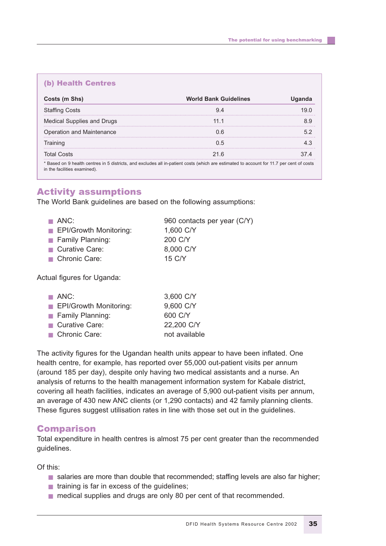#### (b) Health Centres

| Costs (m Shs)                | <b>World Bank Guidelines</b>                                                                                                             | <b>Uganda</b> |
|------------------------------|------------------------------------------------------------------------------------------------------------------------------------------|---------------|
| <b>Staffing Costs</b>        | 9.4                                                                                                                                      | 19.0          |
| Medical Supplies and Drugs   | 11.1                                                                                                                                     | 8.9           |
| Operation and Maintenance    | 0.6                                                                                                                                      | 5.2           |
| Training                     | 0.5                                                                                                                                      | 4.3           |
| <b>Total Costs</b>           | 21.6                                                                                                                                     | 374           |
| in the facilities examined). | * Based on 9 health centres in 5 districts, and excludes all in-patient costs (which are estimated to account for 11.7 per cent of costs |               |

#### Activity assumptions

The World Bank guidelines are based on the following assumptions:

| $\blacksquare$ ANC:           | 960 contacts per year (C/Y) |
|-------------------------------|-----------------------------|
| <b>EPI/Growth Monitoring:</b> | 1,600 C/Y                   |
| <b>E</b> Family Planning:     | 200 C/Y                     |
| Curative Care:                | 8,000 C/Y                   |
| Chronic Care:                 | 15 C/Y                      |
|                               |                             |

Actual figures for Uganda:

| $\blacksquare$ ANC:           | 3,600 C/Y     |
|-------------------------------|---------------|
| <b>EPI/Growth Monitoring:</b> | 9,600 C/Y     |
| Family Planning:              | 600 C/Y       |
| Curative Care:                | 22,200 C/Y    |
| Chronic Care:                 | not available |

The activity figures for the Ugandan health units appear to have been inflated. One health centre, for example, has reported over 55,000 out-patient visits per annum (around 185 per day), despite only having two medical assistants and a nurse. An analysis of returns to the health management information system for Kabale district, covering all heath facilities, indicates an average of 5,900 out-patient visits per annum, an average of 430 new ANC clients (or 1,290 contacts) and 42 family planning clients. These figures suggest utilisation rates in line with those set out in the guidelines.

#### Comparison

Total expenditure in health centres is almost 75 per cent greater than the recommended guidelines.

Of this:

- salaries are more than double that recommended; staffing levels are also far higher;
- training is far in excess of the quidelines;
- medical supplies and drugs are only 80 per cent of that recommended.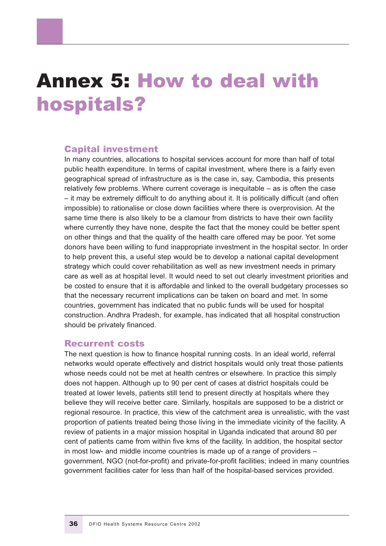### Annex 5: How to deal with hospitals?

#### Capital investment

In many countries, allocations to hospital services account for more than half of total public health expenditure. In terms of capital investment, where there is a fairly even geographical spread of infrastructure as is the case in, say, Cambodia, this presents relatively few problems. Where current coverage is inequitable – as is often the case – it may be extremely difficult to do anything about it. It is politically difficult (and often impossible) to rationalise or close down facilities where there is overprovision. At the same time there is also likely to be a clamour from districts to have their own facility where currently they have none, despite the fact that the money could be better spent on other things and that the quality of the health care offered may be poor. Yet some donors have been willing to fund inappropriate investment in the hospital sector. In order to help prevent this, a useful step would be to develop a national capital development strategy which could cover rehabilitation as well as new investment needs in primary care as well as at hospital level. It would need to set out clearly investment priorities and be costed to ensure that it is affordable and linked to the overall budgetary processes so that the necessary recurrent implications can be taken on board and met. In some countries, government has indicated that no public funds will be used for hospital construction. Andhra Pradesh, for example, has indicated that all hospital construction should be privately financed.

#### Recurrent costs

The next question is how to finance hospital running costs. In an ideal world, referral networks would operate effectively and district hospitals would only treat those patients whose needs could not be met at health centres or elsewhere. In practice this simply does not happen. Although up to 90 per cent of cases at district hospitals could be treated at lower levels, patients still tend to present directly at hospitals where they believe they will receive better care. Similarly, hospitals are supposed to be a district or regional resource. In practice, this view of the catchment area is unrealistic, with the vast proportion of patients treated being those living in the immediate vicinity of the facility. A review of patients in a major mission hospital in Uganda indicated that around 80 per cent of patients came from within five kms of the facility. In addition, the hospital sector in most low- and middle income countries is made up of a range of providers – government, NGO (not-for-profit) and private-for-profit facilities; indeed in many countries government facilities cater for less than half of the hospital-based services provided.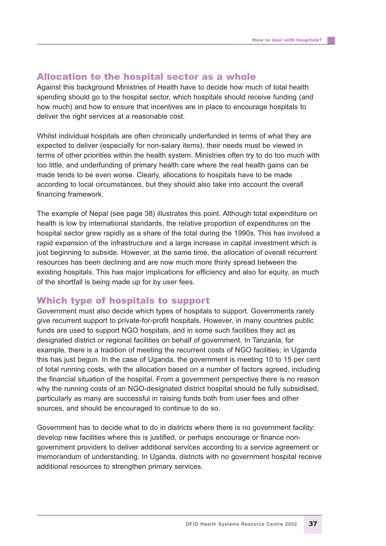#### Allocation to the hospital sector as a whole

Against this background Ministries of Health have to decide how much of total health spending should go to the hospital sector, which hospitals should receive funding (and how much) and how to ensure that incentives are in place to encourage hospitals to deliver the right services at a reasonable cost.

Whilst individual hospitals are often chronically underfunded in terms of what they are expected to deliver (especially for non-salary items), their needs must be viewed in terms of other priorities within the health system. Ministries often try to do too much with too little, and underfunding of primary health care where the real health gains can be made tends to be even worse. Clearly, allocations to hospitals have to be made according to local circumstances, but they should also take into account the overall financing framework.

The example of Nepal (see page 38) illustrates this point. Although total expenditure on health is low by international standards, the relative proportion of expenditures on the hospital sector grew rapidly as a share of the total during the 1990s. This has involved a rapid expansion of the infrastructure and a large increase in capital investment which is just beginning to subside. However, at the same time, the allocation of overall recurrent resources has been declining and are now much more thinly spread between the existing hospitals. This has major implications for efficiency and also for equity, as much of the shortfall is being made up for by user fees.

#### Which type of hospitals to support

Government must also decide which types of hospitals to support. Governments rarely give recurrent support to private-for-profit hospitals. However, in many countries public funds are used to support NGO hospitals, and in some such facilities they act as designated district or regional facilities on behalf of government. In Tanzania, for example, there is a tradition of meeting the recurrent costs of NGO facilities; in Uganda this has just begun. In the case of Uganda, the government is meeting 10 to 15 per cent of total running costs, with the allocation based on a number of factors agreed, including the financial situation of the hospital. From a government perspective there is no reason why the running costs of an NGO-designated district hospital should be fully subsidised, particularly as many are successful in raising funds both from user fees and other sources, and should be encouraged to continue to do so.

Government has to decide what to do in districts where there is no government facility: develop new facilities where this is justified, or perhaps encourage or finance nongovernment providers to deliver additional services according to a service agreement or memorandum of understanding. In Uganda, districts with no government hospital receive additional resources to strengthen primary services.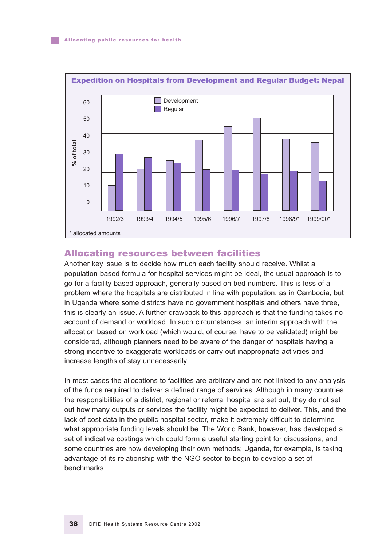

#### Allocating resources between facilities

Another key issue is to decide how much each facility should receive. Whilst a population-based formula for hospital services might be ideal, the usual approach is to go for a facility-based approach, generally based on bed numbers. This is less of a problem where the hospitals are distributed in line with population, as in Cambodia, but in Uganda where some districts have no government hospitals and others have three, this is clearly an issue. A further drawback to this approach is that the funding takes no account of demand or workload. In such circumstances, an interim approach with the allocation based on workload (which would, of course, have to be validated) might be considered, although planners need to be aware of the danger of hospitals having a strong incentive to exaggerate workloads or carry out inappropriate activities and increase lengths of stay unnecessarily.

In most cases the allocations to facilities are arbitrary and are not linked to any analysis of the funds required to deliver a defined range of services. Although in many countries the responsibilities of a district, regional or referral hospital are set out, they do not set out how many outputs or services the facility might be expected to deliver. This, and the lack of cost data in the public hospital sector, make it extremely difficult to determine what appropriate funding levels should be. The World Bank, however, has developed a set of indicative costings which could form a useful starting point for discussions, and some countries are now developing their own methods; Uganda, for example, is taking advantage of its relationship with the NGO sector to begin to develop a set of benchmarks.